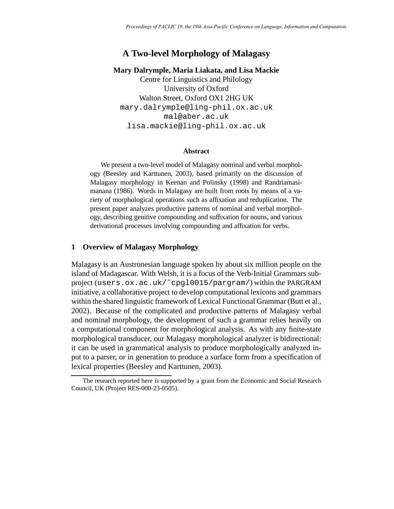# **A Two-level Morphology of Malagasy**

# **Mary Dalrymple, Maria Liakata, and Lisa Mackie**

Centre for Linguistics and Philology University of Oxford Walton Street, Oxford OX1 2HG UK mary.dalrymple@ling-phil.ox.ac.uk mal@aber.ac.uk lisa.mackie@ling-phil.ox.ac.uk

### **Abstract**

We present a two-level model of Malagasy nominal and verbal morphology (Beesley and Karttunen, 2003), based primarily on the discussion of Malagasy morphology in Keenan and Polinsky (1998) and Randriamasimanana (1986). Words in Malagasy are built from roots by means of a variety of morphological operations such as affixation and reduplication. The present paper analyzes productive patterns of nominal and verbal morphology, describing genitive compounding and suffixation for nouns, and various derivational processes involving compounding and affixation for verbs.

# **1 Overview of Malagasy Morphology**

Malagasy is an Austronesian language spoken by about six million people on the island of Madagascar. With Welsh, it is a focus of the Verb-Initial Grammars subproject (users.ox.ac.uk/˜cpgl0015/pargram/) within the PARGRAM initiative, a collaborative project to develop computational lexicons and grammars within the shared linguistic framework of Lexical Functional Grammar (Butt et al., 2002). Because of the complicated and productive patterns of Malagasy verbal and nominal morphology, the development of such a grammar relies heavily on a computational component for morphological analysis. As with any finite-state morphological transducer, our Malagasy morphological analyzer is bidirectional: it can be used in grammatical analysis to produce morphologically analyzed input to a parser, or in generation to produce a surface form from a specification of lexical properties (Beesley and Karttunen, 2003).

The research reported here is supported by a grant from the Economic and Social Research Council, UK (Project RES-000-23-0505).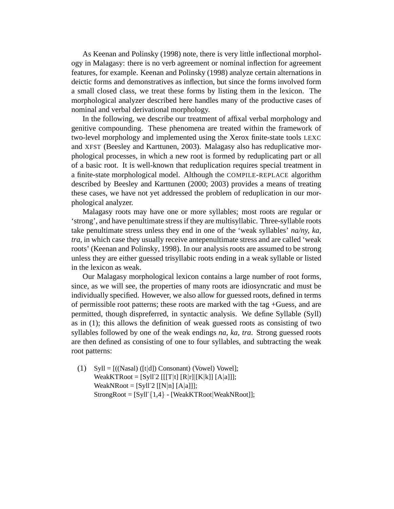As Keenan and Polinsky (1998) note, there is very little inflectional morphology in Malagasy: there is no verb agreement or nominal inflection for agreement features, for example. Keenan and Polinsky (1998) analyze certain alternations in deictic forms and demonstratives as inflection, but since the forms involved form a small closed class, we treat these forms by listing them in the lexicon. The morphological analyzer described here handles many of the productive cases of nominal and verbal derivational morphology.

In the following, we describe our treatment of affixal verbal morphology and genitive compounding. These phenomena are treated within the framework of two-level morphology and implemented using the Xerox finite-state tools LEXC and XFST (Beesley and Karttunen, 2003). Malagasy also has reduplicative morphological processes, in which a new root is formed by reduplicating part or all of a basic root. It is well-known that reduplication requires special treatment in a finite-state morphological model. Although the COMPILE-REPLACE algorithm described by Beesley and Karttunen (2000; 2003) provides a means of treating these cases, we have not yet addressed the problem of reduplication in our morphological analyzer.

Malagasy roots may have one or more syllables; most roots are regular or 'strong', and have penultimate stress if they are multisyllabic. Three-syllable roots take penultimate stress unless they end in one of the 'weak syllables' *na/ny, ka, tra*, in which case they usually receive antepenultimate stress and are called 'weak roots' (Keenan and Polinsky, 1998). In our analysis roots are assumed to be strong unless they are either guessed trisyllabic roots ending in a weak syllable or listed in the lexicon as weak.

Our Malagasy morphological lexicon contains a large number of root forms, since, as we will see, the properties of many roots are idiosyncratic and must be individually specified. However, we also allow for guessed roots, defined in terms of permissible root patterns; these roots are marked with the tag +Guess, and are permitted, though dispreferred, in syntactic analysis. We define Syllable (Syll) as in (1); this allows the definition of weak guessed roots as consisting of two syllables followed by one of the weak endings *na, ka, tra*. Strong guessed roots are then defined as consisting of one to four syllables, and subtracting the weak root patterns:

(1) Syll =  $[(Nasal) ([t|d])$  Consonant) (Vowel) Vowel]; WeakKTRoot =  $[Sy1]^2$  [[[T|t]  $[R|r]$ [K|k]]  $[A|a]$ ]]; WeakNRoot =  $[Syll^2][N|n][A|a]]$ ;  $StrongRoot = [Syll^{2}1,4] - [WeakKTRoot|WeakNRoot]$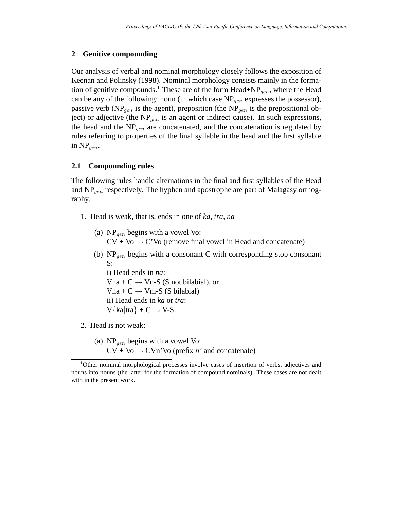### **2 Genitive compounding**

Our analysis of verbal and nominal morphology closely follows the exposition of Keenan and Polinsky (1998). Nominal morphology consists mainly in the formation of genitive compounds.<sup>1</sup> These are of the form Head+NP<sub>gen</sub>, where the Head can be any of the following: noun (in which case  $NP_{gen}$  expresses the possessor), passive verb (NP<sub>gen</sub> is the agent), preposition (the NP<sub>gen</sub> is the prepositional object) or adjective (the  $NP_{gen}$  is an agent or indirect cause). In such expressions, the head and the  $NP<sub>gen</sub>$  are concatenated, and the concatenation is regulated by rules referring to properties of the final syllable in the head and the first syllable in  $NP_{gen}$ .

## **2.1 Compounding rules**

The following rules handle alternations in the final and first syllables of the Head and  $NP_{gen}$  respectively. The hyphen and apostrophe are part of Malagasy orthography.

- 1. Head is weak, that is, ends in one of *ka*, *tra*, *na*
	- (a)  $NP_{gen}$  begins with a vowel Vo:  $CV + Vo \rightarrow C'Vo$  (remove final vowel in Head and concatenate)
	- (b)  $NP_{gen}$  begins with a consonant C with corresponding stop consonant S:

i) Head ends in *na*: Vna + C  $\rightarrow$  Vn-S (S not bilabial), or  $Vna + C \rightarrow Vm-S$  (S bilabial) ii) Head ends in *ka* or *tra*:  $V\{ka|tra\} + C \rightarrow V-S$ 

- 2. Head is not weak:
	- (a)  $NP_{gen}$  begins with a vowel Vo:  $CV + Vo \rightarrow CVn'Vo$  (prefix *n'* and concatenate)

<sup>1</sup>Other nominal morphological processes involve cases of insertion of verbs, adjectives and nouns into nouns (the latter for the formation of compound nominals). These cases are not dealt with in the present work.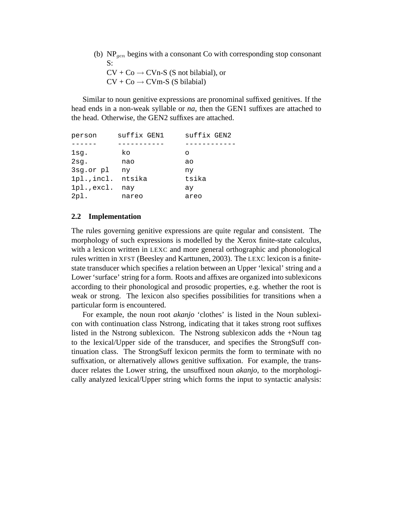(b)  $NP_{gen}$  begins with a consonant Co with corresponding stop consonant  $S^{\mathcal{L}}$  $CV + Co \rightarrow CVn-S$  (S not bilabial), or  $CV + Co \rightarrow CVm-S$  (S bilabial)

Similar to noun genitive expressions are pronominal suffixed genitives. If the head ends in a non-weak syllable or *na*, then the GEN1 suffixes are attached to the head. Otherwise, the GEN2 suffixes are attached.

| person      | suffix GEN1 | suffix GEN2 |
|-------------|-------------|-------------|
|             |             |             |
| lsg.        | ko          | ∩           |
| $2$ sg.     | nao         | ao          |
| 3sg.or pl   | ny          | ny          |
| 1pl., incl. | ntsika      | tsika       |
| 1pl., excl. | nay         | ay          |
| $2p1$ .     | nareo       | areo        |

## **2.2 Implementation**

The rules governing genitive expressions are quite regular and consistent. The morphology of such expressions is modelled by the Xerox finite-state calculus, with a lexicon written in LEXC and more general orthographic and phonological rules written in XFST (Beesley and Karttunen, 2003). The LEXC lexicon is a finitestate transducer which specifies a relation between an Upper 'lexical' string and a Lower 'surface' string for a form. Roots and affixes are organized into sublexicons according to their phonological and prosodic properties, e.g. whether the root is weak or strong. The lexicon also specifies possibilities for transitions when a particular form is encountered.

For example, the noun root *akanjo* 'clothes' is listed in the Noun sublexicon with continuation class Nstrong, indicating that it takes strong root suffixes listed in the Nstrong sublexicon. The Nstrong sublexicon adds the +Noun tag to the lexical/Upper side of the transducer, and specifies the StrongSuff continuation class. The StrongSuff lexicon permits the form to terminate with no suffixation, or alternatively allows genitive suffixation. For example, the transducer relates the Lower string, the unsuffixed noun *akanjo*, to the morphologically analyzed lexical/Upper string which forms the input to syntactic analysis: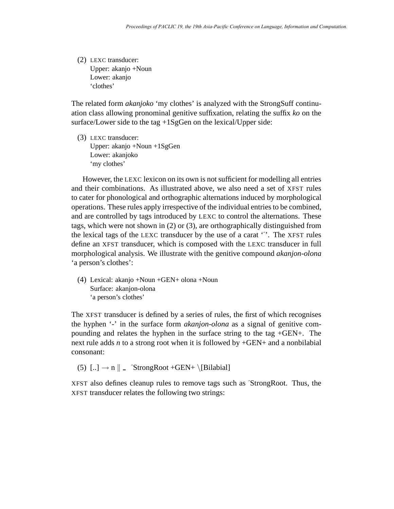(2) LEXC transducer: Upper: akanjo +Noun Lower: akanjo 'clothes'

The related form *akanjoko* 'my clothes' is analyzed with the StrongSuff continuation class allowing pronominal genitive suffixation, relating the suffix *ko* on the surface/Lower side to the tag +1SgGen on the lexical/Upper side:

(3) LEXC transducer: Upper: akanjo +Noun +1SgGen Lower: akanjoko 'my clothes'

However, the LEXC lexicon on its own is not sufficient for modelling all entries and their combinations. As illustrated above, we also need a set of XFST rules to cater for phonological and orthographic alternations induced by morphological operations. These rules apply irrespective of the individual entries to be combined, and are controlled by tags introduced by LEXC to control the alternations. These tags, which were not shown in (2) or (3), are orthographically distinguished from the lexical tags of the LEXC transducer by the use of a carat 'ˆ'. The XFST rules define an XFST transducer, which is composed with the LEXC transducer in full morphological analysis. We illustrate with the genitive compound *akanjon-olona* 'a person's clothes':

(4) Lexical: akanjo +Noun +GEN+ olona +Noun Surface: akanjon-olona 'a person's clothes'

The XFST transducer is defined by a series of rules, the first of which recognises the hyphen '-' in the surface form *akanjon-olona* as a signal of genitive compounding and relates the hyphen in the surface string to the tag +GEN+. The next rule adds *n* to a strong root when it is followed by +GEN+ and a nonbilabial consonant:

(5)  $\left[.. \right] \rightarrow n \parallel$   $\hat{S}$ trongRoot +GEN+ \[Bilabial]

XFST also defines cleanup rules to remove tags such as ˆStrongRoot. Thus, the XFST transducer relates the following two strings: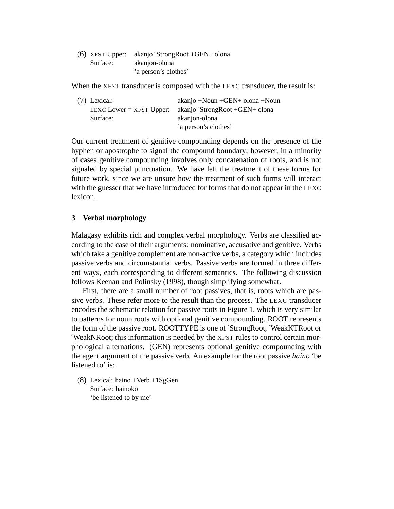|          | $(6)$ XFST Upper: akanjo StrongRoot +GEN+ olona |
|----------|-------------------------------------------------|
| Surface: | akanjon-olona                                   |
|          | 'a person's clothes'                            |

When the XFST transducer is composed with the LEXC transducer, the result is:

| $(7)$ Lexical:             | $akanjo + Noun + GEN + olona + Noun$ |
|----------------------------|--------------------------------------|
| LEXC Lower $=$ XFST Upper: | akanjo StrongRoot +GEN+ olona        |
| Surface:                   | akanjon-olona                        |
|                            | 'a person's clothes'                 |

Our current treatment of genitive compounding depends on the presence of the hyphen or apostrophe to signal the compound boundary; however, in a minority of cases genitive compounding involves only concatenation of roots, and is not signaled by special punctuation. We have left the treatment of these forms for future work, since we are unsure how the treatment of such forms will interact with the guesser that we have introduced for forms that do not appear in the LEXC lexicon.

## **3 Verbal morphology**

Malagasy exhibits rich and complex verbal morphology. Verbs are classified according to the case of their arguments: nominative, accusative and genitive. Verbs which take a genitive complement are non-active verbs, a category which includes passive verbs and circumstantial verbs. Passive verbs are formed in three different ways, each corresponding to different semantics. The following discussion follows Keenan and Polinsky (1998), though simplifying somewhat.

First, there are a small number of root passives, that is, roots which are passive verbs. These refer more to the result than the process. The LEXC transducer encodes the schematic relation for passive roots in Figure 1, which is very similar to patterns for noun roots with optional genitive compounding. ROOT represents the form of the passive root. ROOTTYPE is one ofˆStrongRoot,ˆWeakKTRoot or ˆWeakNRoot; this information is needed by the XFST rules to control certain morphological alternations. (GEN) represents optional genitive compounding with the agent argument of the passive verb. An example for the root passive *haino* 'be listened to' is:

(8) Lexical: haino +Verb +1SgGen Surface: hainoko 'be listened to by me'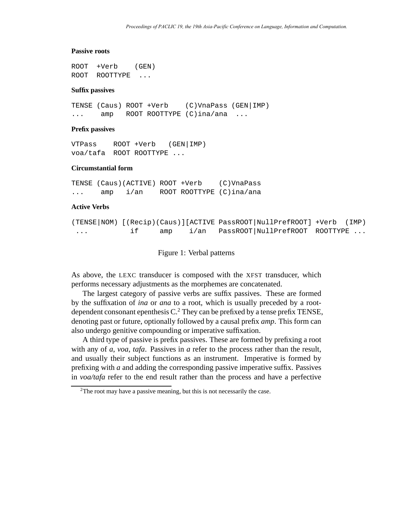#### **Passive roots**

ROOT +Verb (GEN) ROOT ROOTTYPE ...

#### **Suffix passives**

TENSE (Caus) ROOT +Verb (C)VnaPass (GEN|IMP) ... amp ROOT ROOTTYPE (C)ina/ana ...

#### **Prefix passives**

VTPass ROOT +Verb (GEN|IMP) voa/tafa ROOT ROOTTYPE ...

# **Circumstantial form**

TENSE (Caus)(ACTIVE) ROOT +Verb (C)VnaPass ... amp i/an ROOT ROOTTYPE (C)ina/ana

#### **Active Verbs**

```
(TENSE|NOM) [(Recip)(Caus)][ACTIVE PassROOT|NullPrefROOT] +Verb (IMP)
... if amp i/an PassROOT|NullPrefROOT ROOTTYPE ...
```
Figure 1: Verbal patterns

As above, the LEXC transducer is composed with the XFST transducer, which performs necessary adjustments as the morphemes are concatenated.

The largest category of passive verbs are suffix passives. These are formed by the suffixation of *ina* or *ana* to a root, which is usually preceded by a rootdependent consonant epenthesis  $C<sup>2</sup>$ . They can be prefixed by a tense prefix TENSE, denoting past or future, optionally followed by a causal prefix *amp*. This form can also undergo genitive compounding or imperative suffixation.

A third type of passive is prefix passives. These are formed by prefixing a root with any of *a*, *voa*, *tafa*. Passives in *a* refer to the process rather than the result, and usually their subject functions as an instrument. Imperative is formed by prefixing with *a* and adding the corresponding passive imperative suffix. Passives in *voa/tafa* refer to the end result rather than the process and have a perfective

<sup>&</sup>lt;sup>2</sup>The root may have a passive meaning, but this is not necessarily the case.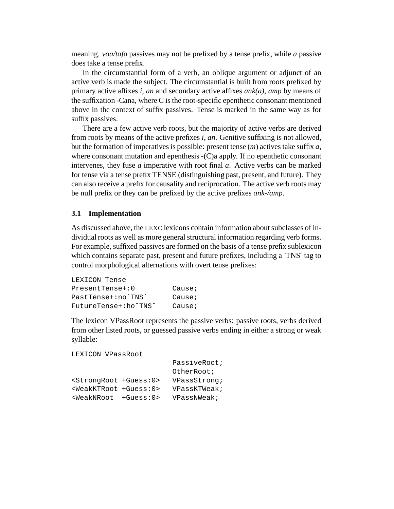meaning. *voa/tafa* passives may not be prefixed by a tense prefix, while *a* passive does take a tense prefix.

In the circumstantial form of a verb, an oblique argument or adjunct of an active verb is made the subject. The circumstantial is built from roots prefixed by primary active affixes *i, an* and secondary active affixes *ank(a), amp* by means of the suffixation -Cana, where C is the root-specific epenthetic consonant mentioned above in the context of suffix passives. Tense is marked in the same way as for suffix passives.

There are a few active verb roots, but the majority of active verbs are derived from roots by means of the active prefixes *i, an*. Genitive suffixing is not allowed, but the formation of imperatives is possible: present tense (*m*) actives take suffix *a*, where consonant mutation and epenthesis -(C)a apply. If no epenthetic consonant intervenes, they fuse *a* imperative with root final *a*. Active verbs can be marked for tense via a tense prefix TENSE (distinguishing past, present, and future). They can also receive a prefix for causality and reciprocation. The active verb roots may be null prefix or they can be prefixed by the active prefixes *ank-/amp*.

## **3.1 Implementation**

As discussed above, the LEXC lexicons contain information about subclasses of individual roots as well as more general structural information regarding verb forms. For example, suffixed passives are formed on the basis of a tense prefix sublexicon which contains separate past, present and future prefixes, including a  $\text{TNS}^{\text{c}}$  tag to control morphological alternations with overt tense prefixes:

| LEXICON Tense        |        |
|----------------------|--------|
| $PresentTense +: 0$  | Cause; |
| PastTense+:no^TNS^   | Cause; |
| FutureTense+:ho^TNS^ | Cause; |

The lexicon VPassRoot represents the passive verbs: passive roots, verbs derived from other listed roots, or guessed passive verbs ending in either a strong or weak syllable:

```
LEXICON VPassRoot
```

|                                       | PassiveRoot; |
|---------------------------------------|--------------|
|                                       | OtherRoot;   |
| <strongroot +guess:0=""></strongroot> | VPassStrong; |
| <weakktroot +guess:0=""></weakktroot> | VPassKTWeak; |
| $\leq$ WeakNRoot +Guess: 0>           | VPassNWeak;  |
|                                       |              |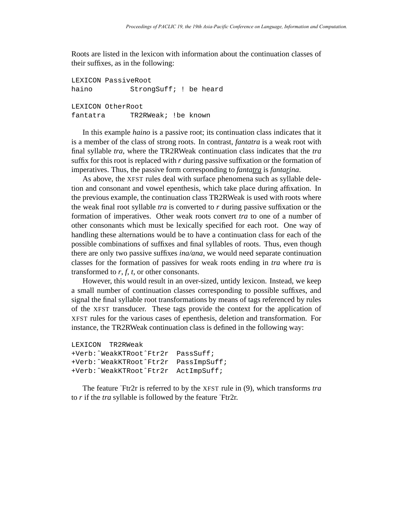Roots are listed in the lexicon with information about the continuation classes of their suffixes, as in the following:

LEXICON PassiveRoot haino StrongSuff; ! be heard LEXICON OtherRoot fantatra TR2RWeak; !be known

In this example *haino* is a passive root; its continuation class indicates that it is a member of the class of strong roots. In contrast, *fantatra* is a weak root with final syllable *tra*, where the TR2RWeak continuation class indicates that the *tra* suffix for this root is replaced with *r* during passive suffixation or the formation of imperatives. Thus, the passive form corresponding to *fantatra* is *fantarina*.

As above, the XFST rules deal with surface phenomena such as syllable deletion and consonant and vowel epenthesis, which take place during affixation. In the previous example, the continuation class TR2RWeak is used with roots where the weak final root syllable *tra* is converted to *r* during passive suffixation or the formation of imperatives. Other weak roots convert *tra* to one of a number of other consonants which must be lexically specified for each root. One way of handling these alternations would be to have a continuation class for each of the possible combinations of suffixes and final syllables of roots. Thus, even though there are only two passive suffixes *ina/ana*, we would need separate continuation classes for the formation of passives for weak roots ending in *tra* where *tra* is transformed to  $r, f, t$ , or other consonants.

However, this would result in an over-sized, untidy lexicon. Instead, we keep a small number of continuation classes corresponding to possible suffixes, and signal the final syllable root transformations by means of tags referenced by rules of the XFST transducer. These tags provide the context for the application of XFST rules for the various cases of epenthesis, deletion and transformation. For instance, the TR2RWeak continuation class is defined in the following way:

```
LEXICON TR2RWeak
+Verb:ˆWeakKTRootˆFtr2r PassSuff;
+Verb:ˆWeakKTRootˆFtr2r PassImpSuff;
+Verb:ˆWeakKTRootˆFtr2r ActImpSuff;
```
The feature ˆFtr2r is referred to by the XFST rule in (9), which transforms *tra* to *r* if the *tra* syllable is followed by the feature ˆFtr2r.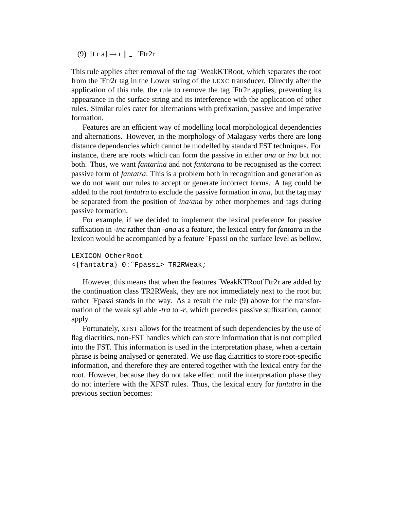(9)  $[t r a] \rightarrow r \parallel$   $\text{Ftr2r}$ 

This rule applies after removal of the tag ~WeakKTRoot, which separates the root from the ˆFtr2r tag in the Lower string of the LEXC transducer. Directly after the application of this rule, the rule to remove the tag  $\text{Tr}2r$  applies, preventing its appearance in the surface string and its interference with the application of other rules. Similar rules cater for alternations with prefixation, passive and imperative formation.

Features are an efficient way of modelling local morphological dependencies and alternations. However, in the morphology of Malagasy verbs there are long distance dependencies which cannot be modelled by standard FST techniques. For instance, there are roots which can form the passive in either *ana* or *ina* but not both. Thus, we want *fantarina* and not *fantarana* to be recognised as the correct passive form of *fantatra*. This is a problem both in recognition and generation as we do not want our rules to accept or generate incorrect forms. A tag could be added to the root *fantatra* to exclude the passive formation in *ana*, but the tag may be separated from the position of *ina/ana* by other morphemes and tags during passive formation.

For example, if we decided to implement the lexical preference for passive suffixation in *-ina* rather than *-ana* as a feature, the lexical entry for *fantatra* in the lexicon would be accompanied by a featureˆFpassi on the surface level as bellow.

```
LEXICON OtherRoot
<{fantatra} 0:ˆFpassi> TR2RWeak;
```
However, this means that when the features ^WeakKTRoot^Ftr2r are added by the continuation class TR2RWeak, they are not immediately next to the root but rather ˆFpassi stands in the way. As a result the rule (9) above for the transformation of the weak syllable *-tra* to *-r*, which precedes passive suffixation, cannot apply.

Fortunately, XFST allows for the treatment of such dependencies by the use of flag diacritics, non-FST handles which can store information that is not compiled into the FST. This information is used in the interpretation phase, when a certain phrase is being analysed or generated. We use flag diacritics to store root-specific information, and therefore they are entered together with the lexical entry for the root. However, because they do not take effect until the interpretation phase they do not interfere with the XFST rules. Thus, the lexical entry for *fantatra* in the previous section becomes: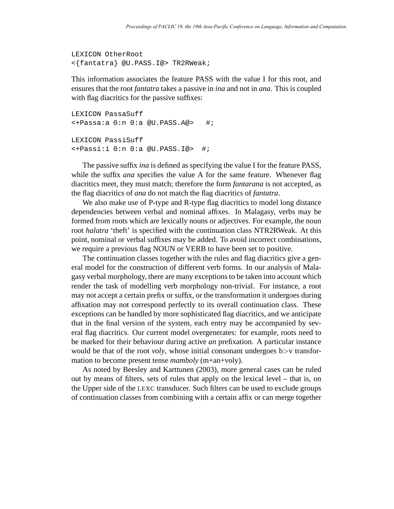```
LEXICON OtherRoot
<{fantatra} @U.PASS.I@> TR2RWeak;
```
This information associates the feature PASS with the value I for this root, and ensures that the root *fantatra* takes a passive in *ina* and not in *ana*. This is coupled with flag diacritics for the passive suffixes:

```
LEXICON PassaSuff
\leftarrowPassa:a 0:n 0:a @U.PASS.A@> #;
LEXICON PassiSuff
<+Passi:i 0:n 0:a @U.PASS.I@> #;
```
The passive suffix *ina* is defined as specifying the value I for the feature PASS, while the suffix *ana* specifies the value A for the same feature. Whenever flag diacritics meet, they must match; therefore the form *fantarana* is not accepted, as the flag diacritics of *ana* do not match the flag diacritics of *fantatra*.

We also make use of P-type and R-type flag diacritics to model long distance dependencies between verbal and nominal affixes. In Malagasy, verbs may be formed from roots which are lexically nouns or adjectives. For example, the noun root *halatra* 'theft' is specified with the continuation class NTR2RWeak. At this point, nominal or verbal suffixes may be added. To avoid incorrect combinations, we require a previous flag NOUN or VERB to have been set to positive.

The continuation classes together with the rules and flag diacritics give a general model for the construction of different verb forms. In our analysis of Malagasy verbal morphology, there are many exceptions to be taken into account which render the task of modelling verb morphology non-trivial. For instance, a root may not accept a certain prefix or suffix, or the transformation it undergoes during affixation may not correspond perfectly to its overall continuation class. These exceptions can be handled by more sophisticated flag diacritics, and we anticipate that in the final version of the system, each entry may be accompanied by several flag diacritics. Our current model overgenerates: for example, roots need to be marked for their behaviour during active *an* prefixation. A particular instance would be that of the root *voly*, whose initial consonant undergoes b>v transformation to become present tense *mamboly* (m+an+voly).

As noted by Beesley and Karttunen (2003), more general cases can be ruled out by means of filters, sets of rules that apply on the lexical level – that is, on the Upper side of the LEXC transducer. Such filters can be used to exclude groups of continuation classes from combining with a certain affix or can merge together